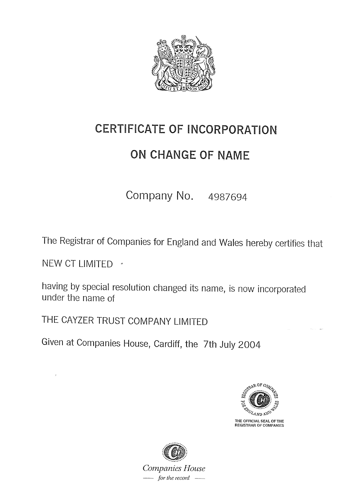

# CERTIFICATE OF INCORPORATION

# ON CHANGE OF NAME

Company No. 4987694

The Registrar of Companies for England and Wales hereby certifies that

NEW CT LIMITED ·

having by special resolution changed its name, is now incorporated under the name of

THE CAYZER TRUST COMPANY LIMITED

Given at Companies House, Cardiff, the 7th July 2004





Companies House  $\frac{1}{\sqrt{1-\frac{1}{2}}}$  for the record  $\frac{1}{\sqrt{1-\frac{1}{2}}}$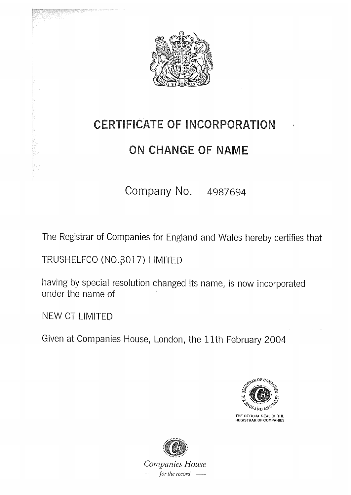

# **CERTIFICATE OF INCORPORATION** ON CHANGE OF NAME

Company No. 4987694

The Registrar of Companies for England and Wales hereby certifies that

TRUSHELFCO (NO.3017) LIMITED

having by special resolution changed its name, is now incorporated under the name of

**NEW CT LIMITED** 

Given at Companies House, London, the 11th February 2004





Companies House - for the record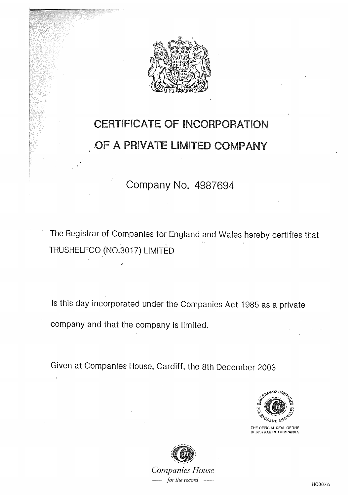

# **CERTIFICATE OF INCORPORATION** OF A PRIVATE LIMITED COMPANY

Company No. 4987694

The Registrar of Companies for England and Wales hereby certifies that TRUSHELFCO (NO.3017) LIMITED

is this day incorporated under the Companies Act 1985 as a private company and that the company is limited.

Given at Companies House, Cardiff, the 8th December 2003



THE OFFICIAL SEAL OF THE<br>REGISTRAR OF COMPANIES



- for the record  $--$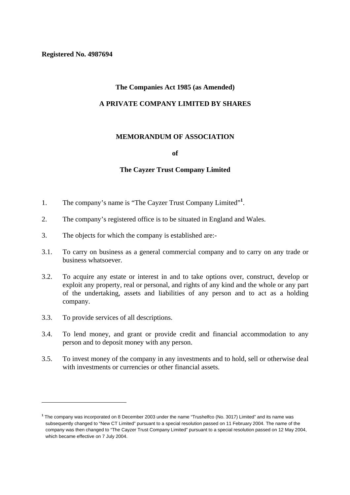**Registered No. 4987694** 

# **The Companies Act 1985 (as Amended)**

# **A PRIVATE COMPANY LIMITED BY SHARES**

## **MEMORANDUM OF ASSOCIATION**

**of** 

## **The Cayzer Trust Company Limited**

- 1. The company's name is "The Cayzer Trust Company Limited"**<sup>1</sup>** .
- 2. The company's registered office is to be situated in England and Wales.
- 3. The objects for which the company is established are:-
- 3.1. To carry on business as a general commercial company and to carry on any trade or business whatsoever.
- 3.2. To acquire any estate or interest in and to take options over, construct, develop or exploit any property, real or personal, and rights of any kind and the whole or any part of the undertaking, assets and liabilities of any person and to act as a holding company.
- 3.3. To provide services of all descriptions.

l

- 3.4. To lend money, and grant or provide credit and financial accommodation to any person and to deposit money with any person.
- 3.5. To invest money of the company in any investments and to hold, sell or otherwise deal with investments or currencies or other financial assets.

**<sup>1</sup>** The company was incorporated on 8 December 2003 under the name "Trushelfco (No. 3017) Limited" and its name was subsequently changed to "New CT Limited" pursuant to a special resolution passed on 11 February 2004. The name of the company was then changed to "The Cayzer Trust Company Limited" pursuant to a special resolution passed on 12 May 2004, which became effective on 7 July 2004.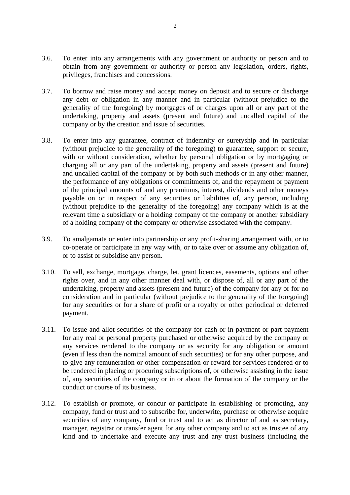- 3.6. To enter into any arrangements with any government or authority or person and to obtain from any government or authority or person any legislation, orders, rights, privileges, franchises and concessions.
- 3.7. To borrow and raise money and accept money on deposit and to secure or discharge any debt or obligation in any manner and in particular (without prejudice to the generality of the foregoing) by mortgages of or charges upon all or any part of the undertaking, property and assets (present and future) and uncalled capital of the company or by the creation and issue of securities.
- 3.8. To enter into any guarantee, contract of indemnity or suretyship and in particular (without prejudice to the generality of the foregoing) to guarantee, support or secure, with or without consideration, whether by personal obligation or by mortgaging or charging all or any part of the undertaking, property and assets (present and future) and uncalled capital of the company or by both such methods or in any other manner, the performance of any obligations or commitments of, and the repayment or payment of the principal amounts of and any premiums, interest, dividends and other moneys payable on or in respect of any securities or liabilities of, any person, including (without prejudice to the generality of the foregoing) any company which is at the relevant time a subsidiary or a holding company of the company or another subsidiary of a holding company of the company or otherwise associated with the company.
- 3.9. To amalgamate or enter into partnership or any profit-sharing arrangement with, or to co-operate or participate in any way with, or to take over or assume any obligation of, or to assist or subsidise any person.
- 3.10. To sell, exchange, mortgage, charge, let, grant licences, easements, options and other rights over, and in any other manner deal with, or dispose of, all or any part of the undertaking, property and assets (present and future) of the company for any or for no consideration and in particular (without prejudice to the generality of the foregoing) for any securities or for a share of profit or a royalty or other periodical or deferred payment.
- 3.11. To issue and allot securities of the company for cash or in payment or part payment for any real or personal property purchased or otherwise acquired by the company or any services rendered to the company or as security for any obligation or amount (even if less than the nominal amount of such securities) or for any other purpose, and to give any remuneration or other compensation or reward for services rendered or to be rendered in placing or procuring subscriptions of, or otherwise assisting in the issue of, any securities of the company or in or about the formation of the company or the conduct or course of its business.
- 3.12. To establish or promote, or concur or participate in establishing or promoting, any company, fund or trust and to subscribe for, underwrite, purchase or otherwise acquire securities of any company, fund or trust and to act as director of and as secretary, manager, registrar or transfer agent for any other company and to act as trustee of any kind and to undertake and execute any trust and any trust business (including the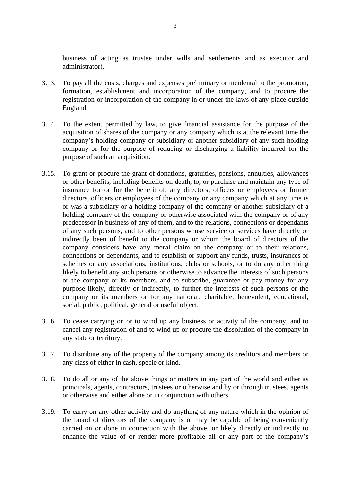business of acting as trustee under wills and settlements and as executor and administrator).

- 3.13. To pay all the costs, charges and expenses preliminary or incidental to the promotion, formation, establishment and incorporation of the company, and to procure the registration or incorporation of the company in or under the laws of any place outside England.
- 3.14. To the extent permitted by law, to give financial assistance for the purpose of the acquisition of shares of the company or any company which is at the relevant time the company's holding company or subsidiary or another subsidiary of any such holding company or for the purpose of reducing or discharging a liability incurred for the purpose of such an acquisition.
- 3.15. To grant or procure the grant of donations, gratuities, pensions, annuities, allowances or other benefits, including benefits on death, to, or purchase and maintain any type of insurance for or for the benefit of, any directors, officers or employees or former directors, officers or employees of the company or any company which at any time is or was a subsidiary or a holding company of the company or another subsidiary of a holding company of the company or otherwise associated with the company or of any predecessor in business of any of them, and to the relations, connections or dependants of any such persons, and to other persons whose service or services have directly or indirectly been of benefit to the company or whom the board of directors of the company considers have any moral claim on the company or to their relations, connections or dependants, and to establish or support any funds, trusts, insurances or schemes or any associations, institutions, clubs or schools, or to do any other thing likely to benefit any such persons or otherwise to advance the interests of such persons or the company or its members, and to subscribe, guarantee or pay money for any purpose likely, directly or indirectly, to further the interests of such persons or the company or its members or for any national, charitable, benevolent, educational, social, public, political, general or useful object.
- 3.16. To cease carrying on or to wind up any business or activity of the company, and to cancel any registration of and to wind up or procure the dissolution of the company in any state or territory.
- 3.17. To distribute any of the property of the company among its creditors and members or any class of either in cash, specie or kind.
- 3.18. To do all or any of the above things or matters in any part of the world and either as principals, agents, contractors, trustees or otherwise and by or through trustees, agents or otherwise and either alone or in conjunction with others.
- 3.19. To carry on any other activity and do anything of any nature which in the opinion of the board of directors of the company is or may be capable of being conveniently carried on or done in connection with the above, or likely directly or indirectly to enhance the value of or render more profitable all or any part of the company's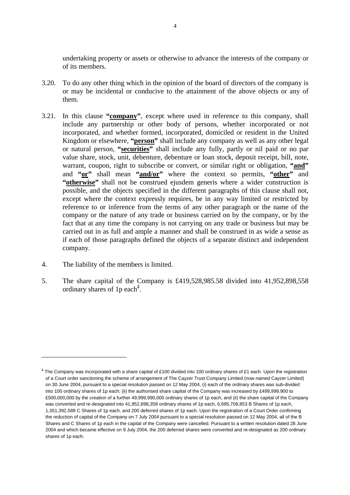undertaking property or assets or otherwise to advance the interests of the company or of its members.

- 3.20. To do any other thing which in the opinion of the board of directors of the company is or may be incidental or conducive to the attainment of the above objects or any of them.
- 3.21. In this clause **"company"**, except where used in reference to this company, shall include any partnership or other body of persons, whether incorporated or not incorporated, and whether formed, incorporated, domiciled or resident in the United Kingdom or elsewhere, **"person"** shall include any company as well as any other legal or natural person, **"securities"** shall include any fully, partly or nil paid or no par value share, stock, unit, debenture, debenture or loan stock, deposit receipt, bill, note, warrant, coupon, right to subscribe or convert, or similar right or obligation, **"and"** and "or" shall mean "and/or" where the context so permits, "other" and **"otherwise"** shall not be construed ejusdem generis where a wider construction is possible, and the objects specified in the different paragraphs of this clause shall not, except where the context expressly requires, be in any way limited or restricted by reference to or inference from the terms of any other paragraph or the name of the company or the nature of any trade or business carried on by the company, or by the fact that at any time the company is not carrying on any trade or business but may be carried out in as full and ample a manner and shall be construed in as wide a sense as if each of those paragraphs defined the objects of a separate distinct and independent company.
- 4. The liability of the members is limited.

l

5. The share capital of the Company is £419,528,985.58 divided into 41,952,898,558 ordinary shares of 1p each**<sup>2</sup>** .

**<sup>2</sup>** The Company was incorporated with a share capital of £100 divided into 100 ordinary shares of £1 each. Upon the registration of a Court order sanctioning the scheme of arrangement of The Cayzer Trust Company Limited (now named Cayzer Limited) on 30 June 2004, pursuant to a special resolution passed on 12 May 2004, (i) each of the ordinary shares was sub-divided into 100 ordinary shares of 1p each; (ii) the authorised share capital of the Company was increased by £499,999,900 to £500,000,000 by the creation of a further 49,999,990,000 ordinary shares of 1p each, and (ii) the share capital of the Company was converted and re-designated into 41,952,898,358 ordinary shares of 1p each, 6,695,708,853 B Shares of 1p each, 1,351,392,589 C Shares of 1p each, and 200 deferred shares of 1p each. Upon the registration of a Court Order confirming the reduction of capital of the Company on 7 July 2004 pursuant to a special resolution passed on 12 May 2004, all of the B Shares and C Shares of 1p each in the capital of the Company were cancelled. Pursuant to a written resolution dated 28 June 2004 and which became effective on 9 July 2004, the 200 deferred shares were converted and re-designated as 200 ordinary shares of 1p each.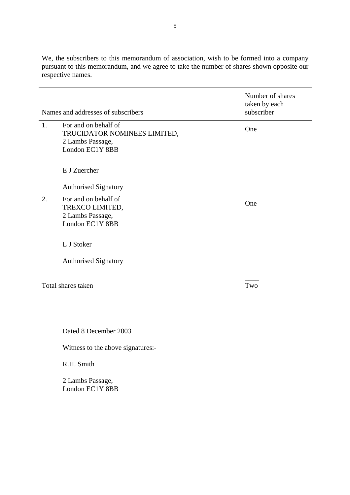| Names and addresses of subscribers |                                                                                             | Number of shares<br>taken by each<br>subscriber |  |
|------------------------------------|---------------------------------------------------------------------------------------------|-------------------------------------------------|--|
| 1.                                 | For and on behalf of<br>TRUCIDATOR NOMINEES LIMITED,<br>2 Lambs Passage,<br>London EC1Y 8BB | One                                             |  |
|                                    | E J Zuercher                                                                                |                                                 |  |
|                                    | <b>Authorised Signatory</b>                                                                 |                                                 |  |
| 2.                                 | For and on behalf of<br>TREXCO LIMITED,<br>2 Lambs Passage,<br>London EC1Y 8BB              | One                                             |  |
|                                    | L J Stoker                                                                                  |                                                 |  |
|                                    | <b>Authorised Signatory</b>                                                                 |                                                 |  |
| Total shares taken                 |                                                                                             | Two                                             |  |

We, the subscribers to this memorandum of association, wish to be formed into a company pursuant to this memorandum, and we agree to take the number of shares shown opposite our respective names.

Dated 8 December 2003

Witness to the above signatures:-

R.H. Smith

J

2 Lambs Passage, London EC1Y 8BB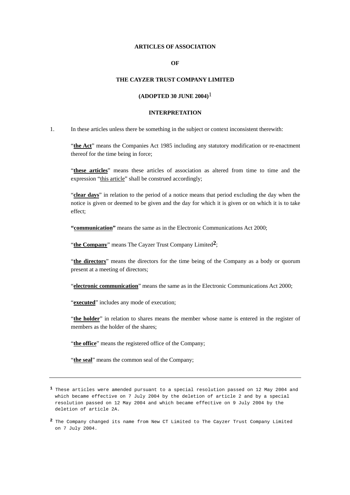#### **ARTICLES OF ASSOCIATION**

#### **OF**

#### **THE CAYZER TRUST COMPANY LIMITED**

#### **(ADOPTED 30 JUNE 2004)**1

#### **INTERPRETATION**

1. In these articles unless there be something in the subject or context inconsistent therewith:

"the Act" means the Companies Act 1985 including any statutory modification or re-enactment thereof for the time being in force;

"**these articles**" means these articles of association as altered from time to time and the expression "this article" shall be construed accordingly;

"**clear days**" in relation to the period of a notice means that period excluding the day when the notice is given or deemed to be given and the day for which it is given or on which it is to take effect;

**"communication"** means the same as in the Electronic Communications Act 2000;

"**the Company**" means The Cayzer Trust Company Limited**2**;

"**the directors**" means the directors for the time being of the Company as a body or quorum present at a meeting of directors;

"**electronic communication**" means the same as in the Electronic Communications Act 2000;

"**executed**" includes any mode of execution;

"**the holder**" in relation to shares means the member whose name is entered in the register of members as the holder of the shares;

"the office" means the registered office of the Company;

"the seal" means the common seal of the Company;

**<sup>1</sup>** These articles were amended pursuant to a special resolution passed on 12 May 2004 and which became effective on 7 July 2004 by the deletion of article 2 and by a special resolution passed on 12 May 2004 and which became effective on 9 July 2004 by the deletion of article 2A.

**<sup>2</sup>** The Company changed its name from New CT Limited to The Cayzer Trust Company Limited on 7 July 2004.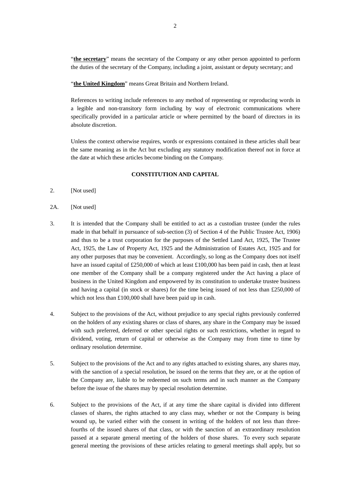"**the secretary**" means the secretary of the Company or any other person appointed to perform the duties of the secretary of the Company, including a joint, assistant or deputy secretary; and

"the United Kingdom" means Great Britain and Northern Ireland.

References to writing include references to any method of representing or reproducing words in a legible and non-transitory form including by way of electronic communications where specifically provided in a particular article or where permitted by the board of directors in its absolute discretion.

Unless the context otherwise requires, words or expressions contained in these articles shall bear the same meaning as in the Act but excluding any statutory modification thereof not in force at the date at which these articles become binding on the Company.

#### **CONSTITUTION AND CAPITAL**

- 2. [Not used]
- 2A. [Not used]
- 3. It is intended that the Company shall be entitled to act as a custodian trustee (under the rules made in that behalf in pursuance of sub-section (3) of Section 4 of the Public Trustee Act, 1906) and thus to be a trust corporation for the purposes of the Settled Land Act, 1925, The Trustee Act, 1925, the Law of Property Act, 1925 and the Administration of Estates Act, 1925 and for any other purposes that may be convenient. Accordingly, so long as the Company does not itself have an issued capital of £250,000 of which at least £100,000 has been paid in cash, then at least one member of the Company shall be a company registered under the Act having a place of business in the United Kingdom and empowered by its constitution to undertake trustee business and having a capital (in stock or shares) for the time being issued of not less than £250,000 of which not less than £100,000 shall have been paid up in cash.
- 4. Subject to the provisions of the Act, without prejudice to any special rights previously conferred on the holders of any existing shares or class of shares, any share in the Company may be issued with such preferred, deferred or other special rights or such restrictions, whether in regard to dividend, voting, return of capital or otherwise as the Company may from time to time by ordinary resolution determine.
- 5. Subject to the provisions of the Act and to any rights attached to existing shares, any shares may, with the sanction of a special resolution, be issued on the terms that they are, or at the option of the Company are, liable to be redeemed on such terms and in such manner as the Company before the issue of the shares may by special resolution determine.
- 6. Subject to the provisions of the Act, if at any time the share capital is divided into different classes of shares, the rights attached to any class may, whether or not the Company is being wound up, be varied either with the consent in writing of the holders of not less than threefourths of the issued shares of that class, or with the sanction of an extraordinary resolution passed at a separate general meeting of the holders of those shares. To every such separate general meeting the provisions of these articles relating to general meetings shall apply, but so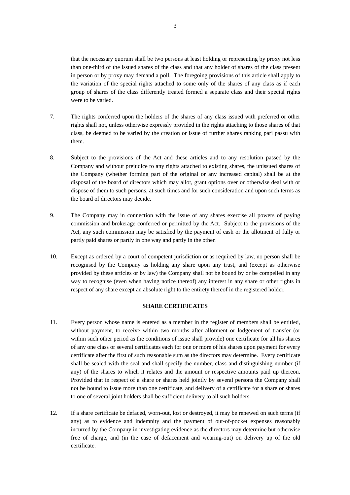that the necessary quorum shall be two persons at least holding or representing by proxy not less than one-third of the issued shares of the class and that any holder of shares of the class present in person or by proxy may demand a poll. The foregoing provisions of this article shall apply to the variation of the special rights attached to some only of the shares of any class as if each group of shares of the class differently treated formed a separate class and their special rights were to be varied.

- 7. The rights conferred upon the holders of the shares of any class issued with preferred or other rights shall not, unless otherwise expressly provided in the rights attaching to those shares of that class, be deemed to be varied by the creation or issue of further shares ranking pari passu with them.
- 8. Subject to the provisions of the Act and these articles and to any resolution passed by the Company and without prejudice to any rights attached to existing shares, the unissued shares of the Company (whether forming part of the original or any increased capital) shall be at the disposal of the board of directors which may allot, grant options over or otherwise deal with or dispose of them to such persons, at such times and for such consideration and upon such terms as the board of directors may decide.
- 9. The Company may in connection with the issue of any shares exercise all powers of paying commission and brokerage conferred or permitted by the Act. Subject to the provisions of the Act, any such commission may be satisfied by the payment of cash or the allotment of fully or partly paid shares or partly in one way and partly in the other.
- 10. Except as ordered by a court of competent jurisdiction or as required by law, no person shall be recognised by the Company as holding any share upon any trust, and (except as otherwise provided by these articles or by law) the Company shall not be bound by or be compelled in any way to recognise (even when having notice thereof) any interest in any share or other rights in respect of any share except an absolute right to the entirety thereof in the registered holder.

#### **SHARE CERTIFICATES**

- 11. Every person whose name is entered as a member in the register of members shall be entitled, without payment, to receive within two months after allotment or lodgement of transfer (or within such other period as the conditions of issue shall provide) one certificate for all his shares of any one class or several certificates each for one or more of his shares upon payment for every certificate after the first of such reasonable sum as the directors may determine. Every certificate shall be sealed with the seal and shall specify the number, class and distinguishing number (if any) of the shares to which it relates and the amount or respective amounts paid up thereon. Provided that in respect of a share or shares held jointly by several persons the Company shall not be bound to issue more than one certificate, and delivery of a certificate for a share or shares to one of several joint holders shall be sufficient delivery to all such holders.
- 12. If a share certificate be defaced, worn-out, lost or destroyed, it may be renewed on such terms (if any) as to evidence and indemnity and the payment of out-of-pocket expenses reasonably incurred by the Company in investigating evidence as the directors may determine but otherwise free of charge, and (in the case of defacement and wearing-out) on delivery up of the old certificate.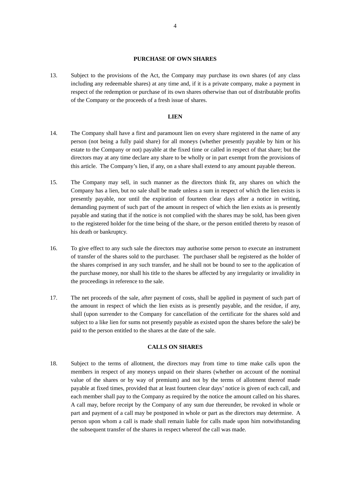#### **PURCHASE OF OWN SHARES**

13. Subject to the provisions of the Act, the Company may purchase its own shares (of any class including any redeemable shares) at any time and, if it is a private company, make a payment in respect of the redemption or purchase of its own shares otherwise than out of distributable profits of the Company or the proceeds of a fresh issue of shares.

#### **LIEN**

- 14. The Company shall have a first and paramount lien on every share registered in the name of any person (not being a fully paid share) for all moneys (whether presently payable by him or his estate to the Company or not) payable at the fixed time or called in respect of that share; but the directors may at any time declare any share to be wholly or in part exempt from the provisions of this article. The Company's lien, if any, on a share shall extend to any amount payable thereon.
- 15. The Company may sell, in such manner as the directors think fit, any shares on which the Company has a lien, but no sale shall be made unless a sum in respect of which the lien exists is presently payable, nor until the expiration of fourteen clear days after a notice in writing, demanding payment of such part of the amount in respect of which the lien exists as is presently payable and stating that if the notice is not complied with the shares may be sold, has been given to the registered holder for the time being of the share, or the person entitled thereto by reason of his death or bankruptcy.
- 16. To give effect to any such sale the directors may authorise some person to execute an instrument of transfer of the shares sold to the purchaser. The purchaser shall be registered as the holder of the shares comprised in any such transfer, and he shall not be bound to see to the application of the purchase money, nor shall his title to the shares be affected by any irregularity or invalidity in the proceedings in reference to the sale.
- 17. The net proceeds of the sale, after payment of costs, shall be applied in payment of such part of the amount in respect of which the lien exists as is presently payable, and the residue, if any, shall (upon surrender to the Company for cancellation of the certificate for the shares sold and subject to a like lien for sums not presently payable as existed upon the shares before the sale) be paid to the person entitled to the shares at the date of the sale.

#### **CALLS ON SHARES**

18. Subject to the terms of allotment, the directors may from time to time make calls upon the members in respect of any moneys unpaid on their shares (whether on account of the nominal value of the shares or by way of premium) and not by the terms of allotment thereof made payable at fixed times, provided that at least fourteen clear days' notice is given of each call, and each member shall pay to the Company as required by the notice the amount called on his shares. A call may, before receipt by the Company of any sum due thereunder, be revoked in whole or part and payment of a call may be postponed in whole or part as the directors may determine. A person upon whom a call is made shall remain liable for calls made upon him notwithstanding the subsequent transfer of the shares in respect whereof the call was made.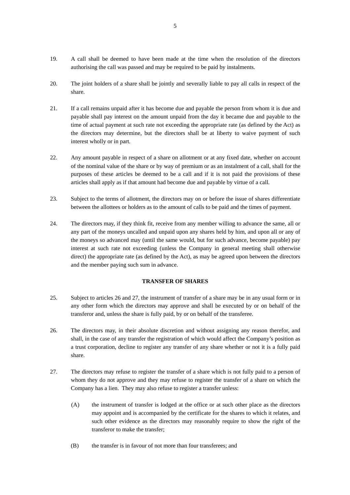- 19. A call shall be deemed to have been made at the time when the resolution of the directors authorising the call was passed and may be required to be paid by instalments.
- 20. The joint holders of a share shall be jointly and severally liable to pay all calls in respect of the share.
- 21. If a call remains unpaid after it has become due and payable the person from whom it is due and payable shall pay interest on the amount unpaid from the day it became due and payable to the time of actual payment at such rate not exceeding the appropriate rate (as defined by the Act) as the directors may determine, but the directors shall be at liberty to waive payment of such interest wholly or in part.
- 22. Any amount payable in respect of a share on allotment or at any fixed date, whether on account of the nominal value of the share or by way of premium or as an instalment of a call, shall for the purposes of these articles be deemed to be a call and if it is not paid the provisions of these articles shall apply as if that amount had become due and payable by virtue of a call.
- 23. Subject to the terms of allotment, the directors may on or before the issue of shares differentiate between the allottees or holders as to the amount of calls to be paid and the times of payment.
- 24. The directors may, if they think fit, receive from any member willing to advance the same, all or any part of the moneys uncalled and unpaid upon any shares held by him, and upon all or any of the moneys so advanced may (until the same would, but for such advance, become payable) pay interest at such rate not exceeding (unless the Company in general meeting shall otherwise direct) the appropriate rate (as defined by the Act), as may be agreed upon between the directors and the member paying such sum in advance.

### **TRANSFER OF SHARES**

- 25. Subject to articles 26 and 27, the instrument of transfer of a share may be in any usual form or in any other form which the directors may approve and shall be executed by or on behalf of the transferor and, unless the share is fully paid, by or on behalf of the transferee.
- 26. The directors may, in their absolute discretion and without assigning any reason therefor, and shall, in the case of any transfer the registration of which would affect the Company's position as a trust corporation, decline to register any transfer of any share whether or not it is a fully paid share.
- 27. The directors may refuse to register the transfer of a share which is not fully paid to a person of whom they do not approve and they may refuse to register the transfer of a share on which the Company has a lien. They may also refuse to register a transfer unless:
	- (A) the instrument of transfer is lodged at the office or at such other place as the directors may appoint and is accompanied by the certificate for the shares to which it relates, and such other evidence as the directors may reasonably require to show the right of the transferor to make the transfer;
	- (B) the transfer is in favour of not more than four transferees; and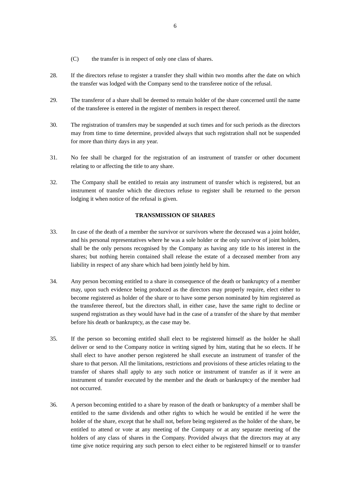- (C) the transfer is in respect of only one class of shares.
- 28. If the directors refuse to register a transfer they shall within two months after the date on which the transfer was lodged with the Company send to the transferee notice of the refusal.
- 29. The transferor of a share shall be deemed to remain holder of the share concerned until the name of the transferee is entered in the register of members in respect thereof.
- 30. The registration of transfers may be suspended at such times and for such periods as the directors may from time to time determine, provided always that such registration shall not be suspended for more than thirty days in any year.
- 31. No fee shall be charged for the registration of an instrument of transfer or other document relating to or affecting the title to any share.
- 32. The Company shall be entitled to retain any instrument of transfer which is registered, but an instrument of transfer which the directors refuse to register shall be returned to the person lodging it when notice of the refusal is given.

#### **TRANSMISSION OF SHARES**

- 33. In case of the death of a member the survivor or survivors where the deceased was a joint holder, and his personal representatives where he was a sole holder or the only survivor of joint holders, shall be the only persons recognised by the Company as having any title to his interest in the shares; but nothing herein contained shall release the estate of a deceased member from any liability in respect of any share which had been jointly held by him.
- 34. Any person becoming entitled to a share in consequence of the death or bankruptcy of a member may, upon such evidence being produced as the directors may properly require, elect either to become registered as holder of the share or to have some person nominated by him registered as the transferee thereof, but the directors shall, in either case, have the same right to decline or suspend registration as they would have had in the case of a transfer of the share by that member before his death or bankruptcy, as the case may be.
- 35. If the person so becoming entitled shall elect to be registered himself as the holder he shall deliver or send to the Company notice in writing signed by him, stating that he so elects. If he shall elect to have another person registered he shall execute an instrument of transfer of the share to that person. All the limitations, restrictions and provisions of these articles relating to the transfer of shares shall apply to any such notice or instrument of transfer as if it were an instrument of transfer executed by the member and the death or bankruptcy of the member had not occurred.
- 36. A person becoming entitled to a share by reason of the death or bankruptcy of a member shall be entitled to the same dividends and other rights to which he would be entitled if he were the holder of the share, except that he shall not, before being registered as the holder of the share, be entitled to attend or vote at any meeting of the Company or at any separate meeting of the holders of any class of shares in the Company. Provided always that the directors may at any time give notice requiring any such person to elect either to be registered himself or to transfer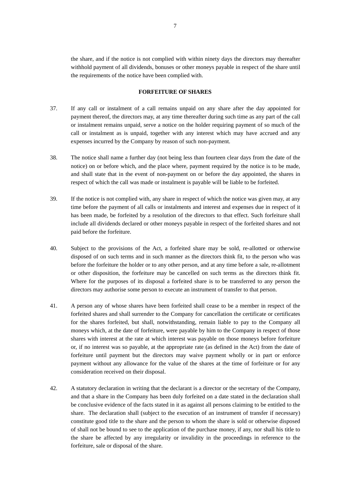the share, and if the notice is not complied with within ninety days the directors may thereafter withhold payment of all dividends, bonuses or other moneys payable in respect of the share until the requirements of the notice have been complied with.

#### **FORFEITURE OF SHARES**

- 37. If any call or instalment of a call remains unpaid on any share after the day appointed for payment thereof, the directors may, at any time thereafter during such time as any part of the call or instalment remains unpaid, serve a notice on the holder requiring payment of so much of the call or instalment as is unpaid, together with any interest which may have accrued and any expenses incurred by the Company by reason of such non-payment.
- 38. The notice shall name a further day (not being less than fourteen clear days from the date of the notice) on or before which, and the place where, payment required by the notice is to be made, and shall state that in the event of non-payment on or before the day appointed, the shares in respect of which the call was made or instalment is payable will be liable to be forfeited.
- 39. If the notice is not complied with, any share in respect of which the notice was given may, at any time before the payment of all calls or instalments and interest and expenses due in respect of it has been made, be forfeited by a resolution of the directors to that effect. Such forfeiture shall include all dividends declared or other moneys payable in respect of the forfeited shares and not paid before the forfeiture.
- 40. Subject to the provisions of the Act, a forfeited share may be sold, re-allotted or otherwise disposed of on such terms and in such manner as the directors think fit, to the person who was before the forfeiture the holder or to any other person, and at any time before a sale, re-allotment or other disposition, the forfeiture may be cancelled on such terms as the directors think fit. Where for the purposes of its disposal a forfeited share is to be transferred to any person the directors may authorise some person to execute an instrument of transfer to that person.
- 41. A person any of whose shares have been forfeited shall cease to be a member in respect of the forfeited shares and shall surrender to the Company for cancellation the certificate or certificates for the shares forfeited, but shall, notwithstanding, remain liable to pay to the Company all moneys which, at the date of forfeiture, were payable by him to the Company in respect of those shares with interest at the rate at which interest was payable on those moneys before forfeiture or, if no interest was so payable, at the appropriate rate (as defined in the Act) from the date of forfeiture until payment but the directors may waive payment wholly or in part or enforce payment without any allowance for the value of the shares at the time of forfeiture or for any consideration received on their disposal.
- 42. A statutory declaration in writing that the declarant is a director or the secretary of the Company, and that a share in the Company has been duly forfeited on a date stated in the declaration shall be conclusive evidence of the facts stated in it as against all persons claiming to be entitled to the share. The declaration shall (subject to the execution of an instrument of transfer if necessary) constitute good title to the share and the person to whom the share is sold or otherwise disposed of shall not be bound to see to the application of the purchase money, if any, nor shall his title to the share be affected by any irregularity or invalidity in the proceedings in reference to the forfeiture, sale or disposal of the share.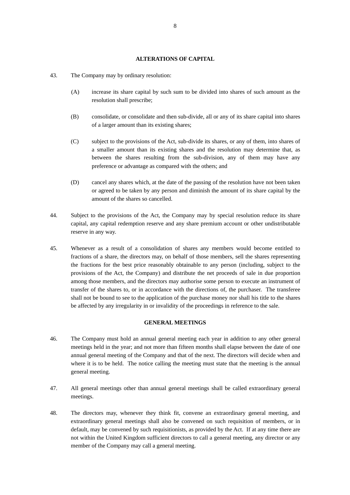#### **ALTERATIONS OF CAPITAL**

- 43. The Company may by ordinary resolution:
	- (A) increase its share capital by such sum to be divided into shares of such amount as the resolution shall prescribe;
	- (B) consolidate, or consolidate and then sub-divide, all or any of its share capital into shares of a larger amount than its existing shares;
	- (C) subject to the provisions of the Act, sub-divide its shares, or any of them, into shares of a smaller amount than its existing shares and the resolution may determine that, as between the shares resulting from the sub-division, any of them may have any preference or advantage as compared with the others; and
	- (D) cancel any shares which, at the date of the passing of the resolution have not been taken or agreed to be taken by any person and diminish the amount of its share capital by the amount of the shares so cancelled.
- 44. Subject to the provisions of the Act, the Company may by special resolution reduce its share capital, any capital redemption reserve and any share premium account or other undistributable reserve in any way.
- 45. Whenever as a result of a consolidation of shares any members would become entitled to fractions of a share, the directors may, on behalf of those members, sell the shares representing the fractions for the best price reasonably obtainable to any person (including, subject to the provisions of the Act, the Company) and distribute the net proceeds of sale in due proportion among those members, and the directors may authorise some person to execute an instrument of transfer of the shares to, or in accordance with the directions of, the purchaser. The transferee shall not be bound to see to the application of the purchase money nor shall his title to the shares be affected by any irregularity in or invalidity of the proceedings in reference to the sale.

#### **GENERAL MEETINGS**

- 46. The Company must hold an annual general meeting each year in addition to any other general meetings held in the year; and not more than fifteen months shall elapse between the date of one annual general meeting of the Company and that of the next. The directors will decide when and where it is to be held. The notice calling the meeting must state that the meeting is the annual general meeting.
- 47. All general meetings other than annual general meetings shall be called extraordinary general meetings.
- 48. The directors may, whenever they think fit, convene an extraordinary general meeting, and extraordinary general meetings shall also be convened on such requisition of members, or in default, may be convened by such requisitionists, as provided by the Act. If at any time there are not within the United Kingdom sufficient directors to call a general meeting, any director or any member of the Company may call a general meeting.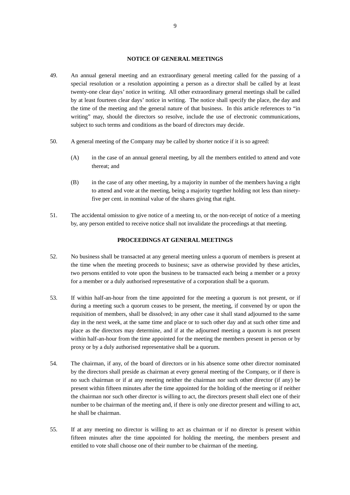#### **NOTICE OF GENERAL MEETINGS**

- 49. An annual general meeting and an extraordinary general meeting called for the passing of a special resolution or a resolution appointing a person as a director shall be called by at least twenty-one clear days' notice in writing. All other extraordinary general meetings shall be called by at least fourteen clear days' notice in writing. The notice shall specify the place, the day and the time of the meeting and the general nature of that business. In this article references to "in writing" may, should the directors so resolve, include the use of electronic communications, subject to such terms and conditions as the board of directors may decide.
- 50. A general meeting of the Company may be called by shorter notice if it is so agreed:
	- (A) in the case of an annual general meeting, by all the members entitled to attend and vote thereat; and
	- (B) in the case of any other meeting, by a majority in number of the members having a right to attend and vote at the meeting, being a majority together holding not less than ninetyfive per cent. in nominal value of the shares giving that right.
- 51. The accidental omission to give notice of a meeting to, or the non-receipt of notice of a meeting by, any person entitled to receive notice shall not invalidate the proceedings at that meeting.

#### **PROCEEDINGS AT GENERAL MEETINGS**

- 52. No business shall be transacted at any general meeting unless a quorum of members is present at the time when the meeting proceeds to business; save as otherwise provided by these articles, two persons entitled to vote upon the business to be transacted each being a member or a proxy for a member or a duly authorised representative of a corporation shall be a quorum.
- 53. If within half-an-hour from the time appointed for the meeting a quorum is not present, or if during a meeting such a quorum ceases to be present, the meeting, if convened by or upon the requisition of members, shall be dissolved; in any other case it shall stand adjourned to the same day in the next week, at the same time and place or to such other day and at such other time and place as the directors may determine, and if at the adjourned meeting a quorum is not present within half-an-hour from the time appointed for the meeting the members present in person or by proxy or by a duly authorised representative shall be a quorum.
- 54. The chairman, if any, of the board of directors or in his absence some other director nominated by the directors shall preside as chairman at every general meeting of the Company, or if there is no such chairman or if at any meeting neither the chairman nor such other director (if any) be present within fifteen minutes after the time appointed for the holding of the meeting or if neither the chairman nor such other director is willing to act, the directors present shall elect one of their number to be chairman of the meeting and, if there is only one director present and willing to act, he shall be chairman.
- 55. If at any meeting no director is willing to act as chairman or if no director is present within fifteen minutes after the time appointed for holding the meeting, the members present and entitled to vote shall choose one of their number to be chairman of the meeting.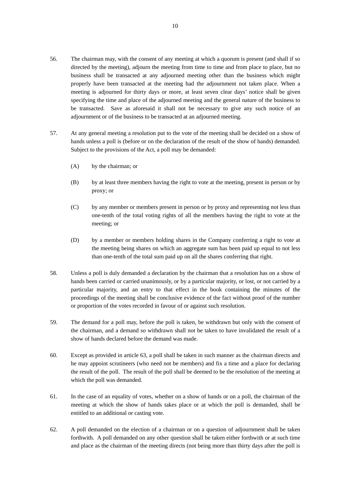- 56. The chairman may, with the consent of any meeting at which a quorum is present (and shall if so directed by the meeting), adjourn the meeting from time to time and from place to place, but no business shall be transacted at any adjourned meeting other than the business which might properly have been transacted at the meeting had the adjournment not taken place. When a meeting is adjourned for thirty days or more, at least seven clear days' notice shall be given specifying the time and place of the adjourned meeting and the general nature of the business to be transacted. Save as aforesaid it shall not be necessary to give any such notice of an adjournment or of the business to be transacted at an adjourned meeting.
- 57. At any general meeting a resolution put to the vote of the meeting shall be decided on a show of hands unless a poll is (before or on the declaration of the result of the show of hands) demanded. Subject to the provisions of the Act, a poll may be demanded:
	- (A) by the chairman; or
	- (B) by at least three members having the right to vote at the meeting, present in person or by proxy; or
	- (C) by any member or members present in person or by proxy and representing not less than one-tenth of the total voting rights of all the members having the right to vote at the meeting; or
	- (D) by a member or members holding shares in the Company conferring a right to vote at the meeting being shares on which an aggregate sum has been paid up equal to not less than one-tenth of the total sum paid up on all the shares conferring that right.
- 58. Unless a poll is duly demanded a declaration by the chairman that a resolution has on a show of hands been carried or carried unanimously, or by a particular majority, or lost, or not carried by a particular majority, and an entry to that effect in the book containing the minutes of the proceedings of the meeting shall be conclusive evidence of the fact without proof of the number or proportion of the votes recorded in favour of or against such resolution.
- 59. The demand for a poll may, before the poll is taken, be withdrawn but only with the consent of the chairman, and a demand so withdrawn shall not be taken to have invalidated the result of a show of hands declared before the demand was made.
- 60. Except as provided in article 63, a poll shall be taken in such manner as the chairman directs and he may appoint scrutineers (who need not be members) and fix a time and a place for declaring the result of the poll. The result of the poll shall be deemed to be the resolution of the meeting at which the poll was demanded.
- 61. In the case of an equality of votes, whether on a show of hands or on a poll, the chairman of the meeting at which the show of hands takes place or at which the poll is demanded, shall be entitled to an additional or casting vote.
- 62. A poll demanded on the election of a chairman or on a question of adjournment shall be taken forthwith. A poll demanded on any other question shall be taken either forthwith or at such time and place as the chairman of the meeting directs (not being more than thirty days after the poll is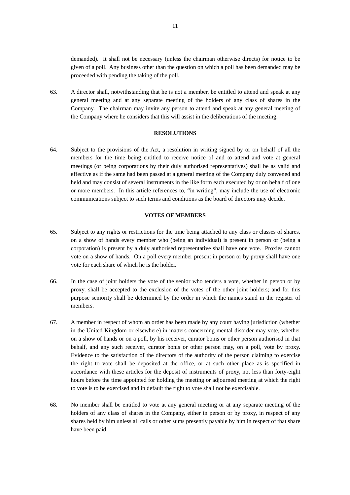demanded). It shall not be necessary (unless the chairman otherwise directs) for notice to be given of a poll. Any business other than the question on which a poll has been demanded may be proceeded with pending the taking of the poll.

63. A director shall, notwithstanding that he is not a member, be entitled to attend and speak at any general meeting and at any separate meeting of the holders of any class of shares in the Company. The chairman may invite any person to attend and speak at any general meeting of the Company where he considers that this will assist in the deliberations of the meeting.

#### **RESOLUTIONS**

64. Subject to the provisions of the Act, a resolution in writing signed by or on behalf of all the members for the time being entitled to receive notice of and to attend and vote at general meetings (or being corporations by their duly authorised representatives) shall be as valid and effective as if the same had been passed at a general meeting of the Company duly convened and held and may consist of several instruments in the like form each executed by or on behalf of one or more members. In this article references to, "in writing", may include the use of electronic communications subject to such terms and conditions as the board of directors may decide.

#### **VOTES OF MEMBERS**

- 65. Subject to any rights or restrictions for the time being attached to any class or classes of shares, on a show of hands every member who (being an individual) is present in person or (being a corporation) is present by a duly authorised representative shall have one vote. Proxies cannot vote on a show of hands. On a poll every member present in person or by proxy shall have one vote for each share of which he is the holder.
- 66. In the case of joint holders the vote of the senior who tenders a vote, whether in person or by proxy, shall be accepted to the exclusion of the votes of the other joint holders; and for this purpose seniority shall be determined by the order in which the names stand in the register of members.
- 67. A member in respect of whom an order has been made by any court having jurisdiction (whether in the United Kingdom or elsewhere) in matters concerning mental disorder may vote, whether on a show of hands or on a poll, by his receiver, curator bonis or other person authorised in that behalf, and any such receiver, curator bonis or other person may, on a poll, vote by proxy. Evidence to the satisfaction of the directors of the authority of the person claiming to exercise the right to vote shall be deposited at the office, or at such other place as is specified in accordance with these articles for the deposit of instruments of proxy, not less than forty-eight hours before the time appointed for holding the meeting or adjourned meeting at which the right to vote is to be exercised and in default the right to vote shall not be exercisable.
- 68. No member shall be entitled to vote at any general meeting or at any separate meeting of the holders of any class of shares in the Company, either in person or by proxy, in respect of any shares held by him unless all calls or other sums presently payable by him in respect of that share have been paid.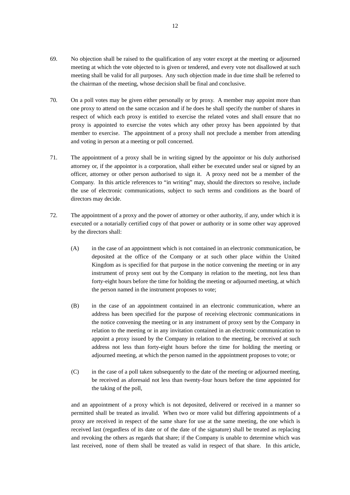- 69. No objection shall be raised to the qualification of any voter except at the meeting or adjourned meeting at which the vote objected to is given or tendered, and every vote not disallowed at such meeting shall be valid for all purposes. Any such objection made in due time shall be referred to the chairman of the meeting, whose decision shall be final and conclusive.
- 70. On a poll votes may be given either personally or by proxy. A member may appoint more than one proxy to attend on the same occasion and if he does he shall specify the number of shares in respect of which each proxy is entitled to exercise the related votes and shall ensure that no proxy is appointed to exercise the votes which any other proxy has been appointed by that member to exercise. The appointment of a proxy shall not preclude a member from attending and voting in person at a meeting or poll concerned.
- 71. The appointment of a proxy shall be in writing signed by the appointor or his duly authorised attorney or, if the appointor is a corporation, shall either be executed under seal or signed by an officer, attorney or other person authorised to sign it. A proxy need not be a member of the Company. In this article references to "in writing" may, should the directors so resolve, include the use of electronic communications, subject to such terms and conditions as the board of directors may decide.
- 72. The appointment of a proxy and the power of attorney or other authority, if any, under which it is executed or a notarially certified copy of that power or authority or in some other way approved by the directors shall:
	- (A) in the case of an appointment which is not contained in an electronic communication, be deposited at the office of the Company or at such other place within the United Kingdom as is specified for that purpose in the notice convening the meeting or in any instrument of proxy sent out by the Company in relation to the meeting, not less than forty-eight hours before the time for holding the meeting or adjourned meeting, at which the person named in the instrument proposes to vote;
	- (B) in the case of an appointment contained in an electronic communication, where an address has been specified for the purpose of receiving electronic communications in the notice convening the meeting or in any instrument of proxy sent by the Company in relation to the meeting or in any invitation contained in an electronic communication to appoint a proxy issued by the Company in relation to the meeting, be received at such address not less than forty-eight hours before the time for holding the meeting or adjourned meeting, at which the person named in the appointment proposes to vote; or
	- (C) in the case of a poll taken subsequently to the date of the meeting or adjourned meeting, be received as aforesaid not less than twenty-four hours before the time appointed for the taking of the poll,

and an appointment of a proxy which is not deposited, delivered or received in a manner so permitted shall be treated as invalid. When two or more valid but differing appointments of a proxy are received in respect of the same share for use at the same meeting, the one which is received last (regardless of its date or of the date of the signature) shall be treated as replacing and revoking the others as regards that share; if the Company is unable to determine which was last received, none of them shall be treated as valid in respect of that share. In this article,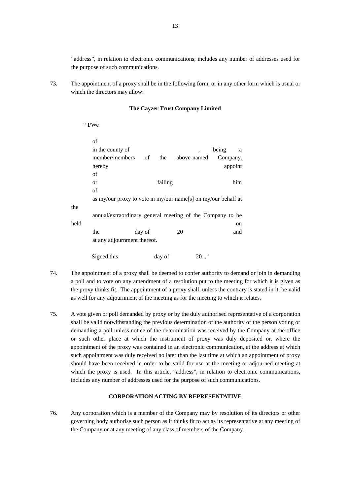"address", in relation to electronic communications, includes any number of addresses used for the purpose of such communications.

73. The appointment of a proxy shall be in the following form, or in any other form which is usual or which the directors may allow:

#### **The Cayzer Trust Company Limited**

|      | $\cdot$ T/We                                                  |        |         |             |   |       |          |
|------|---------------------------------------------------------------|--------|---------|-------------|---|-------|----------|
|      | of                                                            |        |         |             |   |       |          |
|      | in the county of                                              |        |         |             | , | being | a        |
|      | member/members                                                | of     | the     | above-named |   |       | Company, |
|      | hereby                                                        |        |         |             |   |       | appoint  |
|      | of                                                            |        |         |             |   |       |          |
|      | <b>or</b>                                                     |        | failing |             |   |       | him      |
|      | of                                                            |        |         |             |   |       |          |
|      | as my/our proxy to vote in my/our name[s] on my/our behalf at |        |         |             |   |       |          |
| the  |                                                               |        |         |             |   |       |          |
|      | annual/extraordinary general meeting of the Company to be     |        |         |             |   |       |          |
| held |                                                               |        |         |             |   |       | on       |
|      | the                                                           | day of |         | 20          |   |       | and      |
|      | at any adjournment thereof.                                   |        |         |             |   |       |          |
|      | Signed this                                                   |        | day of  |             |   |       |          |

- 74. The appointment of a proxy shall be deemed to confer authority to demand or join in demanding a poll and to vote on any amendment of a resolution put to the meeting for which it is given as the proxy thinks fit. The appointment of a proxy shall, unless the contrary is stated in it, be valid as well for any adjournment of the meeting as for the meeting to which it relates.
- 75. A vote given or poll demanded by proxy or by the duly authorised representative of a corporation shall be valid notwithstanding the previous determination of the authority of the person voting or demanding a poll unless notice of the determination was received by the Company at the office or such other place at which the instrument of proxy was duly deposited or, where the appointment of the proxy was contained in an electronic communication, at the address at which such appointment was duly received no later than the last time at which an appointment of proxy should have been received in order to be valid for use at the meeting or adjourned meeting at which the proxy is used. In this article, "address", in relation to electronic communications, includes any number of addresses used for the purpose of such communications.

#### **CORPORATION ACTING BY REPRESENTATIVE**

76. Any corporation which is a member of the Company may by resolution of its directors or other governing body authorise such person as it thinks fit to act as its representative at any meeting of the Company or at any meeting of any class of members of the Company.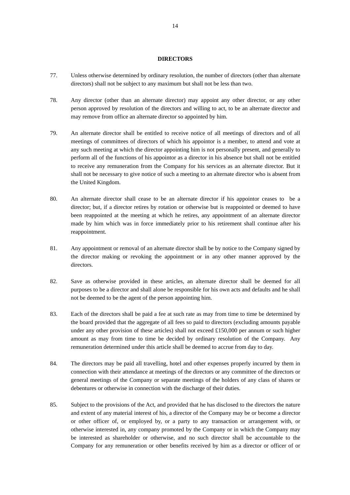#### **DIRECTORS**

- 77. Unless otherwise determined by ordinary resolution, the number of directors (other than alternate directors) shall not be subject to any maximum but shall not be less than two.
- 78. Any director (other than an alternate director) may appoint any other director, or any other person approved by resolution of the directors and willing to act, to be an alternate director and may remove from office an alternate director so appointed by him.
- 79. An alternate director shall be entitled to receive notice of all meetings of directors and of all meetings of committees of directors of which his appointor is a member, to attend and vote at any such meeting at which the director appointing him is not personally present, and generally to perform all of the functions of his appointor as a director in his absence but shall not be entitled to receive any remuneration from the Company for his services as an alternate director. But it shall not be necessary to give notice of such a meeting to an alternate director who is absent from the United Kingdom.
- 80. An alternate director shall cease to be an alternate director if his appointor ceases to be a director; but, if a director retires by rotation or otherwise but is reappointed or deemed to have been reappointed at the meeting at which he retires, any appointment of an alternate director made by him which was in force immediately prior to his retirement shall continue after his reappointment.
- 81. Any appointment or removal of an alternate director shall be by notice to the Company signed by the director making or revoking the appointment or in any other manner approved by the directors.
- 82. Save as otherwise provided in these articles, an alternate director shall be deemed for all purposes to be a director and shall alone be responsible for his own acts and defaults and he shall not be deemed to be the agent of the person appointing him.
- 83. Each of the directors shall be paid a fee at such rate as may from time to time be determined by the board provided that the aggregate of all fees so paid to directors (excluding amounts payable under any other provision of these articles) shall not exceed £150,000 per annum or such higher amount as may from time to time be decided by ordinary resolution of the Company. Any remuneration determined under this article shall be deemed to accrue from day to day.
- 84. The directors may be paid all travelling, hotel and other expenses properly incurred by them in connection with their attendance at meetings of the directors or any committee of the directors or general meetings of the Company or separate meetings of the holders of any class of shares or debentures or otherwise in connection with the discharge of their duties.
- 85. Subject to the provisions of the Act, and provided that he has disclosed to the directors the nature and extent of any material interest of his, a director of the Company may be or become a director or other officer of, or employed by, or a party to any transaction or arrangement with, or otherwise interested in, any company promoted by the Company or in which the Company may be interested as shareholder or otherwise, and no such director shall be accountable to the Company for any remuneration or other benefits received by him as a director or officer of or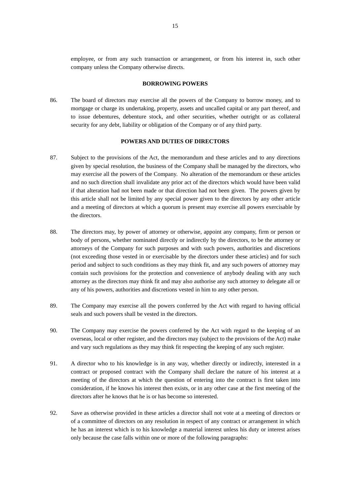employee, or from any such transaction or arrangement, or from his interest in, such other company unless the Company otherwise directs.

#### **BORROWING POWERS**

86. The board of directors may exercise all the powers of the Company to borrow money, and to mortgage or charge its undertaking, property, assets and uncalled capital or any part thereof, and to issue debentures, debenture stock, and other securities, whether outright or as collateral security for any debt, liability or obligation of the Company or of any third party.

#### **POWERS AND DUTIES OF DIRECTORS**

- 87. Subject to the provisions of the Act, the memorandum and these articles and to any directions given by special resolution, the business of the Company shall be managed by the directors, who may exercise all the powers of the Company. No alteration of the memorandum or these articles and no such direction shall invalidate any prior act of the directors which would have been valid if that alteration had not been made or that direction had not been given. The powers given by this article shall not be limited by any special power given to the directors by any other article and a meeting of directors at which a quorum is present may exercise all powers exercisable by the directors.
- 88. The directors may, by power of attorney or otherwise, appoint any company, firm or person or body of persons, whether nominated directly or indirectly by the directors, to be the attorney or attorneys of the Company for such purposes and with such powers, authorities and discretions (not exceeding those vested in or exercisable by the directors under these articles) and for such period and subject to such conditions as they may think fit, and any such powers of attorney may contain such provisions for the protection and convenience of anybody dealing with any such attorney as the directors may think fit and may also authorise any such attorney to delegate all or any of his powers, authorities and discretions vested in him to any other person.
- 89. The Company may exercise all the powers conferred by the Act with regard to having official seals and such powers shall be vested in the directors.
- 90. The Company may exercise the powers conferred by the Act with regard to the keeping of an overseas, local or other register, and the directors may (subject to the provisions of the Act) make and vary such regulations as they may think fit respecting the keeping of any such register.
- 91. A director who to his knowledge is in any way, whether directly or indirectly, interested in a contract or proposed contract with the Company shall declare the nature of his interest at a meeting of the directors at which the question of entering into the contract is first taken into consideration, if he knows his interest then exists, or in any other case at the first meeting of the directors after he knows that he is or has become so interested.
- 92. Save as otherwise provided in these articles a director shall not vote at a meeting of directors or of a committee of directors on any resolution in respect of any contract or arrangement in which he has an interest which is to his knowledge a material interest unless his duty or interest arises only because the case falls within one or more of the following paragraphs: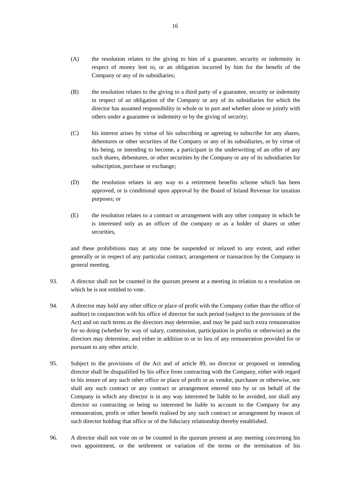- (A) the resolution relates to the giving to him of a guarantee, security or indemnity in respect of money lent to, or an obligation incurred by him for the benefit of the Company or any of its subsidiaries;
- (B) the resolution relates to the giving to a third party of a guarantee, security or indemnity in respect of an obligation of the Company or any of its subsidiaries for which the director has assumed responsibility in whole or in part and whether alone or jointly with others under a guarantee or indemnity or by the giving of security;
- (C) his interest arises by virtue of his subscribing or agreeing to subscribe for any shares, debentures or other securities of the Company or any of its subsidiaries, or by virtue of his being, or intending to become, a participant in the underwriting of an offer of any such shares, debentures, or other securities by the Company or any of its subsidiaries for subscription, purchase or exchange;
- (D) the resolution relates in any way to a retirement benefits scheme which has been approved, or is conditional upon approval by the Board of Inland Revenue for taxation purposes; or
- (E) the resolution relates to a contract or arrangement with any other company in which he is interested only as an officer of the company or as a holder of shares or other securities,

and these prohibitions may at any time be suspended or relaxed to any extent, and either generally or in respect of any particular contract, arrangement or transaction by the Company in general meeting.

- 93. A director shall not be counted in the quorum present at a meeting in relation to a resolution on which he is not entitled to vote.
- 94. A director may hold any other office or place of profit with the Company (other than the office of auditor) in conjunction with his office of director for such period (subject to the provisions of the Act) and on such terms as the directors may determine, and may be paid such extra remuneration for so doing (whether by way of salary, commission, participation in profits or otherwise) as the directors may determine, and either in addition to or in lieu of any remuneration provided for or pursuant to any other article.
- 95. Subject to the provisions of the Act and of article 89, no director or proposed or intending director shall be disqualified by his office from contracting with the Company, either with regard to his tenure of any such other office or place of profit or as vendor, purchaser or otherwise, nor shall any such contract or any contract or arrangement entered into by or on behalf of the Company in which any director is in any way interested be liable to be avoided, nor shall any director so contracting or being so interested be liable to account to the Company for any remuneration, profit or other benefit realised by any such contract or arrangement by reason of such director holding that office or of the fiduciary relationship thereby established.
- 96. A director shall not vote on or be counted in the quorum present at any meeting concerning his own appointment, or the settlement or variation of the terms or the termination of his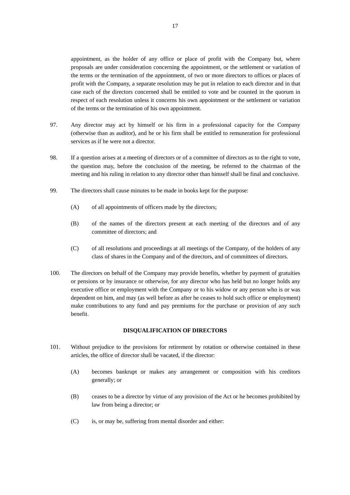appointment, as the holder of any office or place of profit with the Company but, where proposals are under consideration concerning the appointment, or the settlement or variation of the terms or the termination of the appointment, of two or more directors to offices or places of profit with the Company, a separate resolution may be put in relation to each director and in that case each of the directors concerned shall be entitled to vote and be counted in the quorum in respect of each resolution unless it concerns his own appointment or the settlement or variation of the terms or the termination of his own appointment.

- 97. Any director may act by himself or his firm in a professional capacity for the Company (otherwise than as auditor), and he or his firm shall be entitled to remuneration for professional services as if he were not a director.
- 98. If a question arises at a meeting of directors or of a committee of directors as to the right to vote, the question may, before the conclusion of the meeting, be referred to the chairman of the meeting and his ruling in relation to any director other than himself shall be final and conclusive.
- 99. The directors shall cause minutes to be made in books kept for the purpose:
	- (A) of all appointments of officers made by the directors;
	- (B) of the names of the directors present at each meeting of the directors and of any committee of directors; and
	- (C) of all resolutions and proceedings at all meetings of the Company, of the holders of any class of shares in the Company and of the directors, and of committees of directors.
- 100. The directors on behalf of the Company may provide benefits, whether by payment of gratuities or pensions or by insurance or otherwise, for any director who has held but no longer holds any executive office or employment with the Company or to his widow or any person who is or was dependent on him, and may (as well before as after he ceases to hold such office or employment) make contributions to any fund and pay premiums for the purchase or provision of any such benefit.

#### **DISQUALIFICATION OF DIRECTORS**

- 101. Without prejudice to the provisions for retirement by rotation or otherwise contained in these articles, the office of director shall be vacated, if the director:
	- (A) becomes bankrupt or makes any arrangement or composition with his creditors generally; or
	- (B) ceases to be a director by virtue of any provision of the Act or he becomes prohibited by law from being a director; or
	- (C) is, or may be, suffering from mental disorder and either: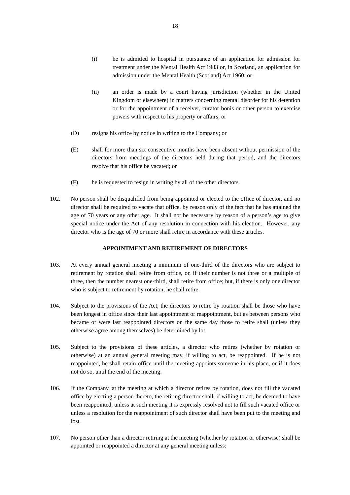- (i) he is admitted to hospital in pursuance of an application for admission for treatment under the Mental Health Act 1983 or, in Scotland, an application for admission under the Mental Health (Scotland) Act 1960; or
- (ii) an order is made by a court having jurisdiction (whether in the United Kingdom or elsewhere) in matters concerning mental disorder for his detention or for the appointment of a receiver, curator bonis or other person to exercise powers with respect to his property or affairs; or
- (D) resigns his office by notice in writing to the Company; or
- (E) shall for more than six consecutive months have been absent without permission of the directors from meetings of the directors held during that period, and the directors resolve that his office be vacated; or
- (F) he is requested to resign in writing by all of the other directors.
- 102. No person shall be disqualified from being appointed or elected to the office of director, and no director shall be required to vacate that office, by reason only of the fact that he has attained the age of 70 years or any other age. It shall not be necessary by reason of a person's age to give special notice under the Act of any resolution in connection with his election. However, any director who is the age of 70 or more shall retire in accordance with these articles.

#### **APPOINTMENT AND RETIREMENT OF DIRECTORS**

- 103. At every annual general meeting a minimum of one-third of the directors who are subject to retirement by rotation shall retire from office, or, if their number is not three or a multiple of three, then the number nearest one-third, shall retire from office; but, if there is only one director who is subject to retirement by rotation, he shall retire.
- 104. Subject to the provisions of the Act, the directors to retire by rotation shall be those who have been longest in office since their last appointment or reappointment, but as between persons who became or were last reappointed directors on the same day those to retire shall (unless they otherwise agree among themselves) be determined by lot.
- 105. Subject to the provisions of these articles, a director who retires (whether by rotation or otherwise) at an annual general meeting may, if willing to act, be reappointed. If he is not reappointed, he shall retain office until the meeting appoints someone in his place, or if it does not do so, until the end of the meeting.
- 106. If the Company, at the meeting at which a director retires by rotation, does not fill the vacated office by electing a person thereto, the retiring director shall, if willing to act, be deemed to have been reappointed, unless at such meeting it is expressly resolved not to fill such vacated office or unless a resolution for the reappointment of such director shall have been put to the meeting and lost.
- 107. No person other than a director retiring at the meeting (whether by rotation or otherwise) shall be appointed or reappointed a director at any general meeting unless: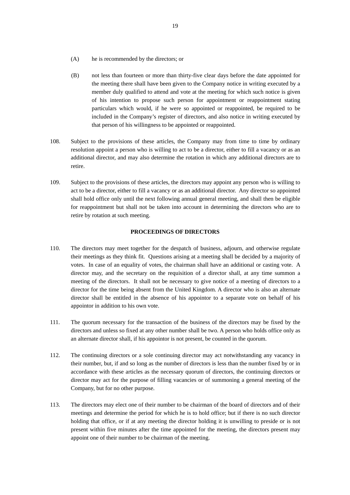- (A) he is recommended by the directors; or
- (B) not less than fourteen or more than thirty-five clear days before the date appointed for the meeting there shall have been given to the Company notice in writing executed by a member duly qualified to attend and vote at the meeting for which such notice is given of his intention to propose such person for appointment or reappointment stating particulars which would, if he were so appointed or reappointed, be required to be included in the Company's register of directors, and also notice in writing executed by that person of his willingness to be appointed or reappointed.
- 108. Subject to the provisions of these articles, the Company may from time to time by ordinary resolution appoint a person who is willing to act to be a director, either to fill a vacancy or as an additional director, and may also determine the rotation in which any additional directors are to retire.
- 109. Subject to the provisions of these articles, the directors may appoint any person who is willing to act to be a director, either to fill a vacancy or as an additional director. Any director so appointed shall hold office only until the next following annual general meeting, and shall then be eligible for reappointment but shall not be taken into account in determining the directors who are to retire by rotation at such meeting.

#### **PROCEEDINGS OF DIRECTORS**

- 110. The directors may meet together for the despatch of business, adjourn, and otherwise regulate their meetings as they think fit. Questions arising at a meeting shall be decided by a majority of votes. In case of an equality of votes, the chairman shall have an additional or casting vote. A director may, and the secretary on the requisition of a director shall, at any time summon a meeting of the directors. It shall not be necessary to give notice of a meeting of directors to a director for the time being absent from the United Kingdom. A director who is also an alternate director shall be entitled in the absence of his appointor to a separate vote on behalf of his appointor in addition to his own vote.
- 111. The quorum necessary for the transaction of the business of the directors may be fixed by the directors and unless so fixed at any other number shall be two. A person who holds office only as an alternate director shall, if his appointor is not present, be counted in the quorum.
- 112. The continuing directors or a sole continuing director may act notwithstanding any vacancy in their number, but, if and so long as the number of directors is less than the number fixed by or in accordance with these articles as the necessary quorum of directors, the continuing directors or director may act for the purpose of filling vacancies or of summoning a general meeting of the Company, but for no other purpose.
- 113. The directors may elect one of their number to be chairman of the board of directors and of their meetings and determine the period for which he is to hold office; but if there is no such director holding that office, or if at any meeting the director holding it is unwilling to preside or is not present within five minutes after the time appointed for the meeting, the directors present may appoint one of their number to be chairman of the meeting.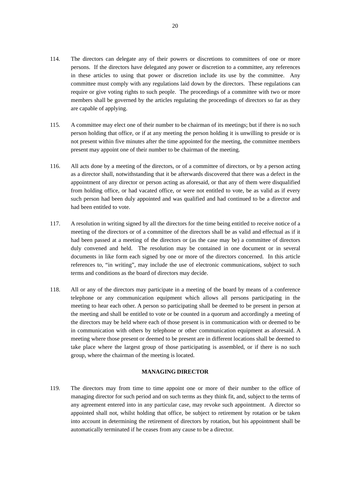- 114. The directors can delegate any of their powers or discretions to committees of one or more persons. If the directors have delegated any power or discretion to a committee, any references in these articles to using that power or discretion include its use by the committee. Any committee must comply with any regulations laid down by the directors. These regulations can require or give voting rights to such people. The proceedings of a committee with two or more members shall be governed by the articles regulating the proceedings of directors so far as they are capable of applying.
- 115. A committee may elect one of their number to be chairman of its meetings; but if there is no such person holding that office, or if at any meeting the person holding it is unwilling to preside or is not present within five minutes after the time appointed for the meeting, the committee members present may appoint one of their number to be chairman of the meeting.
- 116. All acts done by a meeting of the directors, or of a committee of directors, or by a person acting as a director shall, notwithstanding that it be afterwards discovered that there was a defect in the appointment of any director or person acting as aforesaid, or that any of them were disqualified from holding office, or had vacated office, or were not entitled to vote, be as valid as if every such person had been duly appointed and was qualified and had continued to be a director and had been entitled to vote.
- 117. A resolution in writing signed by all the directors for the time being entitled to receive notice of a meeting of the directors or of a committee of the directors shall be as valid and effectual as if it had been passed at a meeting of the directors or (as the case may be) a committee of directors duly convened and held. The resolution may be contained in one document or in several documents in like form each signed by one or more of the directors concerned. In this article references to, "in writing", may include the use of electronic communications, subject to such terms and conditions as the board of directors may decide.
- 118. All or any of the directors may participate in a meeting of the board by means of a conference telephone or any communication equipment which allows all persons participating in the meeting to hear each other. A person so participating shall be deemed to be present in person at the meeting and shall be entitled to vote or be counted in a quorum and accordingly a meeting of the directors may be held where each of those present is in communication with or deemed to be in communication with others by telephone or other communication equipment as aforesaid. A meeting where those present or deemed to be present are in different locations shall be deemed to take place where the largest group of those participating is assembled, or if there is no such group, where the chairman of the meeting is located.

#### **MANAGING DIRECTOR**

119. The directors may from time to time appoint one or more of their number to the office of managing director for such period and on such terms as they think fit, and, subject to the terms of any agreement entered into in any particular case, may revoke such appointment. A director so appointed shall not, whilst holding that office, be subject to retirement by rotation or be taken into account in determining the retirement of directors by rotation, but his appointment shall be automatically terminated if he ceases from any cause to be a director.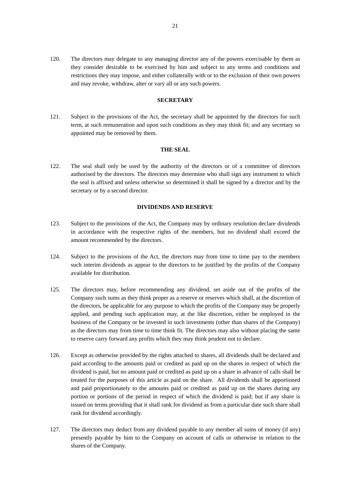120. The directors may delegate to any managing director any of the powers exercisable by them as they consider desirable to be exercised by him and subject to any terms and conditions and restrictions they may impose, and either collaterally with or to the exclusion of their own powers and may revoke, withdraw, alter or vary all or any such powers.

#### **SECRETARY**

121. Subject to the provisions of the Act, the secretary shall be appointed by the directors for such term, at such remuneration and upon such conditions as they may think fit; and any secretary so appointed may be removed by them.

#### **THE SEAL**

122. The seal shall only be used by the authority of the directors or of a committee of directors authorised by the directors. The directors may determine who shall sign any instrument to which the seal is affixed and unless otherwise so determined it shall be signed by a director and by the secretary or by a second director.

#### **DIVIDENDS AND RESERVE**

- 123. Subject to the provisions of the Act, the Company may by ordinary resolution declare dividends in accordance with the respective rights of the members, but no dividend shall exceed the amount recommended by the directors.
- 124. Subject to the provisions of the Act, the directors may from time to time pay to the members such interim dividends as appear to the directors to be justified by the profits of the Company available for distribution.
- 125. The directors may, before recommending any dividend, set aside out of the profits of the Company such sums as they think proper as a reserve or reserves which shall, at the discretion of the directors, be applicable for any purpose to which the profits of the Company may be properly applied, and pending such application may, at the like discretion, either be employed in the business of the Company or be invested in such investments (other than shares of the Company) as the directors may from time to time think fit. The directors may also without placing the same to reserve carry forward any profits which they may think prudent not to declare.
- 126. Except as otherwise provided by the rights attached to shares, all dividends shall be declared and paid according to the amounts paid or credited as paid up on the shares in respect of which the dividend is paid, but no amount paid or credited as paid up on a share in advance of calls shall be treated for the purposes of this article as paid on the share. All dividends shall be apportioned and paid proportionately to the amounts paid or credited as paid up on the shares during any portion or portions of the period in respect of which the dividend is paid; but if any share is issued on terms providing that it shall rank for dividend as from a particular date such share shall rank for dividend accordingly.
- 127. The directors may deduct from any dividend payable to any member all sums of money (if any) presently payable by him to the Company on account of calls or otherwise in relation to the shares of the Company.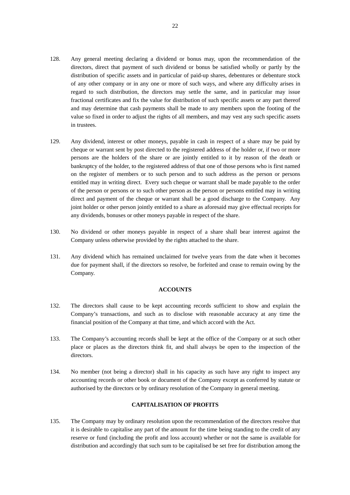- 128. Any general meeting declaring a dividend or bonus may, upon the recommendation of the directors, direct that payment of such dividend or bonus be satisfied wholly or partly by the distribution of specific assets and in particular of paid-up shares, debentures or debenture stock of any other company or in any one or more of such ways, and where any difficulty arises in regard to such distribution, the directors may settle the same, and in particular may issue fractional certificates and fix the value for distribution of such specific assets or any part thereof and may determine that cash payments shall be made to any members upon the footing of the value so fixed in order to adjust the rights of all members, and may vest any such specific assets in trustees.
- 129. Any dividend, interest or other moneys, payable in cash in respect of a share may be paid by cheque or warrant sent by post directed to the registered address of the holder or, if two or more persons are the holders of the share or are jointly entitled to it by reason of the death or bankruptcy of the holder, to the registered address of that one of those persons who is first named on the register of members or to such person and to such address as the person or persons entitled may in writing direct. Every such cheque or warrant shall be made payable to the order of the person or persons or to such other person as the person or persons entitled may in writing direct and payment of the cheque or warrant shall be a good discharge to the Company. Any joint holder or other person jointly entitled to a share as aforesaid may give effectual receipts for any dividends, bonuses or other moneys payable in respect of the share.
- 130. No dividend or other moneys payable in respect of a share shall bear interest against the Company unless otherwise provided by the rights attached to the share.
- 131. Any dividend which has remained unclaimed for twelve years from the date when it becomes due for payment shall, if the directors so resolve, be forfeited and cease to remain owing by the Company.

#### **ACCOUNTS**

- 132. The directors shall cause to be kept accounting records sufficient to show and explain the Company's transactions, and such as to disclose with reasonable accuracy at any time the financial position of the Company at that time, and which accord with the Act.
- 133. The Company's accounting records shall be kept at the office of the Company or at such other place or places as the directors think fit, and shall always be open to the inspection of the directors.
- 134. No member (not being a director) shall in his capacity as such have any right to inspect any accounting records or other book or document of the Company except as conferred by statute or authorised by the directors or by ordinary resolution of the Company in general meeting.

#### **CAPITALISATION OF PROFITS**

135. The Company may by ordinary resolution upon the recommendation of the directors resolve that it is desirable to capitalise any part of the amount for the time being standing to the credit of any reserve or fund (including the profit and loss account) whether or not the same is available for distribution and accordingly that such sum to be capitalised be set free for distribution among the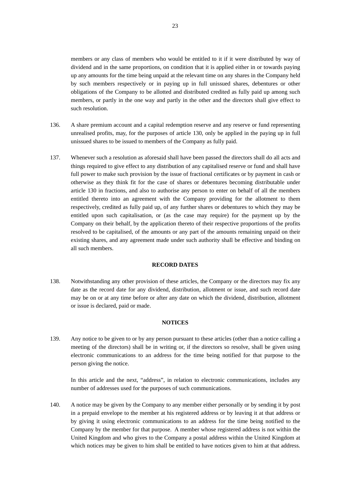members or any class of members who would be entitled to it if it were distributed by way of dividend and in the same proportions, on condition that it is applied either in or towards paying up any amounts for the time being unpaid at the relevant time on any shares in the Company held by such members respectively or in paying up in full unissued shares, debentures or other obligations of the Company to be allotted and distributed credited as fully paid up among such members, or partly in the one way and partly in the other and the directors shall give effect to such resolution.

- 136. A share premium account and a capital redemption reserve and any reserve or fund representing unrealised profits, may, for the purposes of article 130, only be applied in the paying up in full unissued shares to be issued to members of the Company as fully paid.
- 137. Whenever such a resolution as aforesaid shall have been passed the directors shall do all acts and things required to give effect to any distribution of any capitalised reserve or fund and shall have full power to make such provision by the issue of fractional certificates or by payment in cash or otherwise as they think fit for the case of shares or debentures becoming distributable under article 130 in fractions, and also to authorise any person to enter on behalf of all the members entitled thereto into an agreement with the Company providing for the allotment to them respectively, credited as fully paid up, of any further shares or debentures to which they may be entitled upon such capitalisation, or (as the case may require) for the payment up by the Company on their behalf, by the application thereto of their respective proportions of the profits resolved to be capitalised, of the amounts or any part of the amounts remaining unpaid on their existing shares, and any agreement made under such authority shall be effective and binding on all such members.

#### **RECORD DATES**

138. Notwithstanding any other provision of these articles, the Company or the directors may fix any date as the record date for any dividend, distribution, allotment or issue, and such record date may be on or at any time before or after any date on which the dividend, distribution, allotment or issue is declared, paid or made.

#### **NOTICES**

139. Any notice to be given to or by any person pursuant to these articles (other than a notice calling a meeting of the directors) shall be in writing or, if the directors so resolve, shall be given using electronic communications to an address for the time being notified for that purpose to the person giving the notice.

In this article and the next, "address", in relation to electronic communications, includes any number of addresses used for the purposes of such communications.

140. A notice may be given by the Company to any member either personally or by sending it by post in a prepaid envelope to the member at his registered address or by leaving it at that address or by giving it using electronic communications to an address for the time being notified to the Company by the member for that purpose. A member whose registered address is not within the United Kingdom and who gives to the Company a postal address within the United Kingdom at which notices may be given to him shall be entitled to have notices given to him at that address.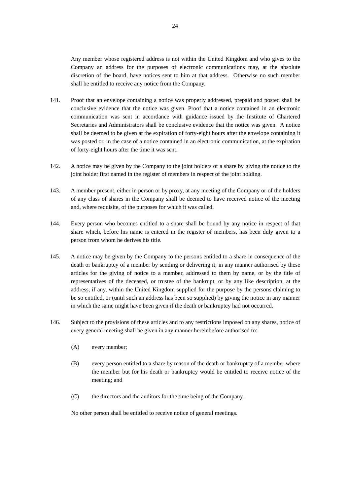Any member whose registered address is not within the United Kingdom and who gives to the Company an address for the purposes of electronic communications may, at the absolute discretion of the board, have notices sent to him at that address. Otherwise no such member shall be entitled to receive any notice from the Company.

- 141. Proof that an envelope containing a notice was properly addressed, prepaid and posted shall be conclusive evidence that the notice was given. Proof that a notice contained in an electronic communication was sent in accordance with guidance issued by the Institute of Chartered Secretaries and Administrators shall be conclusive evidence that the notice was given. A notice shall be deemed to be given at the expiration of forty-eight hours after the envelope containing it was posted or, in the case of a notice contained in an electronic communication, at the expiration of forty-eight hours after the time it was sent.
- 142. A notice may be given by the Company to the joint holders of a share by giving the notice to the joint holder first named in the register of members in respect of the joint holding.
- 143. A member present, either in person or by proxy, at any meeting of the Company or of the holders of any class of shares in the Company shall be deemed to have received notice of the meeting and, where requisite, of the purposes for which it was called.
- 144. Every person who becomes entitled to a share shall be bound by any notice in respect of that share which, before his name is entered in the register of members, has been duly given to a person from whom he derives his title.
- 145. A notice may be given by the Company to the persons entitled to a share in consequence of the death or bankruptcy of a member by sending or delivering it, in any manner authorised by these articles for the giving of notice to a member, addressed to them by name, or by the title of representatives of the deceased, or trustee of the bankrupt, or by any like description, at the address, if any, within the United Kingdom supplied for the purpose by the persons claiming to be so entitled, or (until such an address has been so supplied) by giving the notice in any manner in which the same might have been given if the death or bankruptcy had not occurred.
- 146. Subject to the provisions of these articles and to any restrictions imposed on any shares, notice of every general meeting shall be given in any manner hereinbefore authorised to:
	- (A) every member;
	- (B) every person entitled to a share by reason of the death or bankruptcy of a member where the member but for his death or bankruptcy would be entitled to receive notice of the meeting; and
	- (C) the directors and the auditors for the time being of the Company.

No other person shall be entitled to receive notice of general meetings.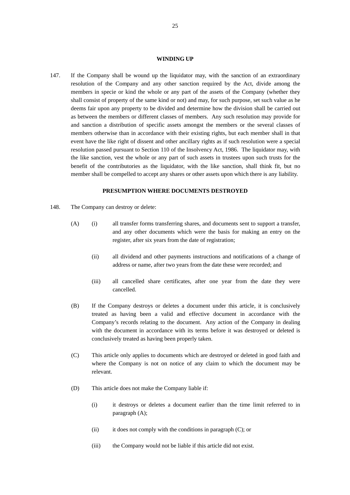#### **WINDING UP**

147. If the Company shall be wound up the liquidator may, with the sanction of an extraordinary resolution of the Company and any other sanction required by the Act, divide among the members in specie or kind the whole or any part of the assets of the Company (whether they shall consist of property of the same kind or not) and may, for such purpose, set such value as he deems fair upon any property to be divided and determine how the division shall be carried out as between the members or different classes of members. Any such resolution may provide for and sanction a distribution of specific assets amongst the members or the several classes of members otherwise than in accordance with their existing rights, but each member shall in that event have the like right of dissent and other ancillary rights as if such resolution were a special resolution passed pursuant to Section 110 of the Insolvency Act, 1986. The liquidator may, with the like sanction, vest the whole or any part of such assets in trustees upon such trusts for the benefit of the contributories as the liquidator, with the like sanction, shall think fit, but no member shall be compelled to accept any shares or other assets upon which there is any liability.

#### **PRESUMPTION WHERE DOCUMENTS DESTROYED**

- 148. The Company can destroy or delete:
	- (A) (i) all transfer forms transferring shares, and documents sent to support a transfer, and any other documents which were the basis for making an entry on the register, after six years from the date of registration;
		- (ii) all dividend and other payments instructions and notifications of a change of address or name, after two years from the date these were recorded; and
		- (iii) all cancelled share certificates, after one year from the date they were cancelled.
	- (B) If the Company destroys or deletes a document under this article, it is conclusively treated as having been a valid and effective document in accordance with the Company's records relating to the document. Any action of the Company in dealing with the document in accordance with its terms before it was destroyed or deleted is conclusively treated as having been properly taken.
	- (C) This article only applies to documents which are destroyed or deleted in good faith and where the Company is not on notice of any claim to which the document may be relevant.
	- (D) This article does not make the Company liable if:
		- (i) it destroys or deletes a document earlier than the time limit referred to in paragraph (A);
		- (ii) it does not comply with the conditions in paragraph (C); or
		- (iii) the Company would not be liable if this article did not exist.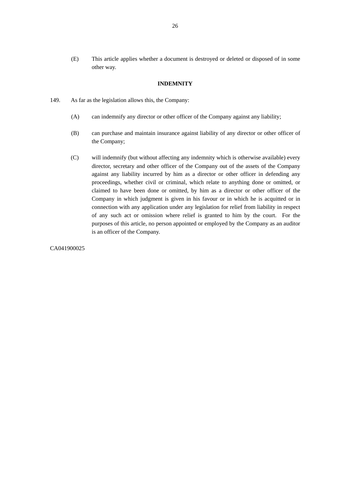(E) This article applies whether a document is destroyed or deleted or disposed of in some other way.

#### **INDEMNITY**

- 149. As far as the legislation allows this, the Company:
	- (A) can indemnify any director or other officer of the Company against any liability;
	- (B) can purchase and maintain insurance against liability of any director or other officer of the Company;
	- (C) will indemnify (but without affecting any indemnity which is otherwise available) every director, secretary and other officer of the Company out of the assets of the Company against any liability incurred by him as a director or other officer in defending any proceedings, whether civil or criminal, which relate to anything done or omitted, or claimed to have been done or omitted, by him as a director or other officer of the Company in which judgment is given in his favour or in which he is acquitted or in connection with any application under any legislation for relief from liability in respect of any such act or omission where relief is granted to him by the court. For the purposes of this article, no person appointed or employed by the Company as an auditor is an officer of the Company.

CA041900025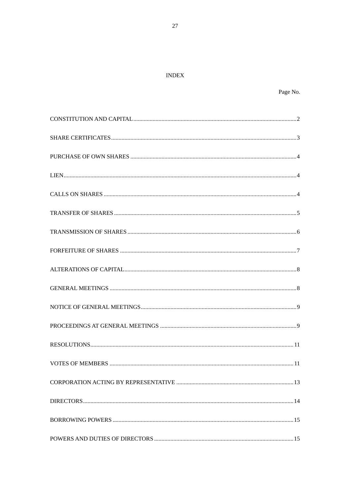## **INDEX**